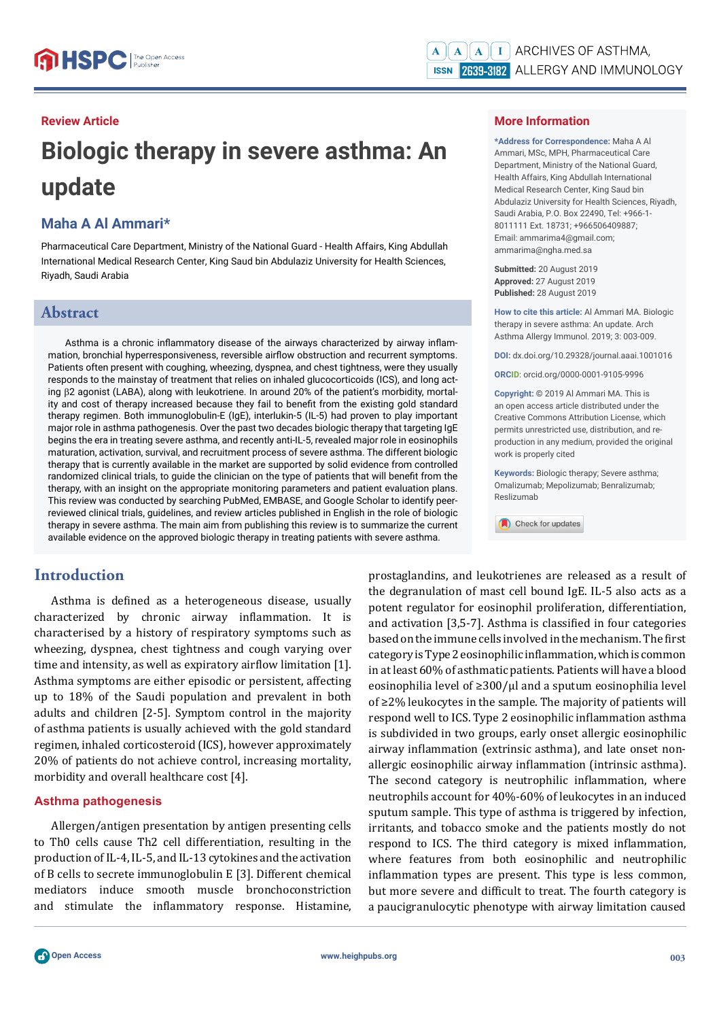#### **Review Article**

# **Biologic therapy in severe asthma: An update**

# **Maha A Al Ammari\***

Pharmaceutical Care Department, Ministry of the National Guard - Health Affairs, King Abdullah International Medical Research Center, King Saud bin Abdulaziz University for Health Sciences, Riyadh, Saudi Arabia

# **Abstract**

Asthma is a chronic inflammatory disease of the airways characterized by airway inflammation, bronchial hyperresponsiveness, reversible airflow obstruction and recurrent symptoms. Patients often present with coughing, wheezing, dyspnea, and chest tightness, were they usually responds to the mainstay of treatment that relies on inhaled glucocorticoids (ICS), and long acting 2 agonist (LABA), along with leukotriene. In around 20% of the patient's morbidity, mortality and cost of therapy increased because they fail to benefit from the existing gold standard therapy regimen. Both immunoglobulin-E (IgE), interlukin-5 (IL-5) had proven to play important major role in asthma pathogenesis. Over the past two decades biologic therapy that targeting IgE begins the era in treating severe asthma, and recently anti-IL-5, revealed major role in eosinophils maturation, activation, survival, and recruitment process of severe asthma. The different biologic therapy that is currently available in the market are supported by solid evidence from controlled randomized clinical trials, to guide the clinician on the type of patients that will benefit from the therapy, with an insight on the appropriate monitoring parameters and patient evaluation plans. This review was conducted by searching PubMed, EMBASE, and Google Scholar to identify peerreviewed clinical trials, guidelines, and review articles published in English in the role of biologic therapy in severe asthma. The main aim from publishing this review is to summarize the current available evidence on the approved biologic therapy in treating patients with severe asthma.

# **Introduction**

Asthma is defined as a heterogeneous disease, usually characterized by chronic airway inflammation. It is characterised by a history of respiratory symptoms such as wheezing, dyspnea, chest tightness and cough varying over time and intensity, as well as expiratory airflow limitation [1]. Asthma symptoms are either episodic or persistent, affecting up to 18% of the Saudi population and prevalent in both adults and children [2-5]. Symptom control in the majority of asthma patients is usually achieved with the gold standard regimen, inhaled corticosteroid (ICS), however approximately 20% of patients do not achieve control, increasing mortality, morbidity and overall healthcare cost [4].

#### **Asthma pathogenesis**

Allergen/antigen presentation by antigen presenting cells to Th0 cells cause Th2 cell differentiation, resulting in the production of IL-4, IL-5, and IL-13 cytokines and the activation of B cells to secrete immunoglobulin E [3]. Different chemical mediators induce smooth muscle bronchoconstriction and stimulate the inflammatory response. Histamine,

#### **More Information**

**\*Address for Correspondence:** Maha A Al Ammari, MSc, MPH, Pharmaceutical Care Department, Ministry of the National Guard, Health Affairs, King Abdullah International Medical Research Center, King Saud bin Abdulaziz University for Health Sciences, Riyadh, Saudi Arabia, P.O. Box 22490, Tel: +966-1- 8011111 Ext. 18731; +966506409887; Email: ammarima4@gmail.com; ammarima@ngha.med.sa

**Submitted:** 20 August 2019 **Approved:** 27 August 2019 **Published:** 28 August 2019

**How to cite this article:** Al Ammari MA. Biologic therapy in severe asthma: An update. Arch Asthma Allergy Immunol. 2019; 3: 003-009.

**DOI:** dx.doi.org/10.29328/journal.aaai.1001016

**ORCID**: orcid.org/0000-0001-9105-9996

**Copyright: ©** 2019 Al Ammari MA. This is an open access article distributed under the Creative Commons Attribution License, which permits unrestricted use, distribution, and reproduction in any medium, provided the original work is properly cited

**Keywords:** Biologic therapy; Severe asthma; Omalizumab; Mepolizumab; Benralizumab; Reslizumab

Check for updates

prostaglandins, and leukotrienes are released as a result of the degranulation of mast cell bound IgE. IL-5 also acts as a potent regulator for eosinophil proliferation, differentiation, and activation  $[3,5-7]$ . Asthma is classified in four categories based on the immune cells involved in the mechanism. The first category is Type 2 eosinophilic inflammation, which is common in at least 60% of asthmatic patients. Patients will have a blood eosinophilia level of ≥300/μl and a sputum eosinophilia level of ≥2% leukocytes in the sample. The majority of patients will respond well to ICS. Type 2 eosinophilic inflammation asthma is subdivided in two groups, early onset allergic eosinophilic airway inflammation (extrinsic asthma), and late onset nonallergic eosinophilic airway inflammation (intrinsic asthma). The second category is neutrophilic inflammation, where neutrophils account for 40%-60% of leukocytes in an induced sputum sample. This type of asthma is triggered by infection, irritants, and tobacco smoke and the patients mostly do not respond to ICS. The third category is mixed inflammation, where features from both eosinophilic and neutrophilic inflammation types are present. This type is less common, but more severe and difficult to treat. The fourth category is a paucigranulocytic phenotype with airway limitation caused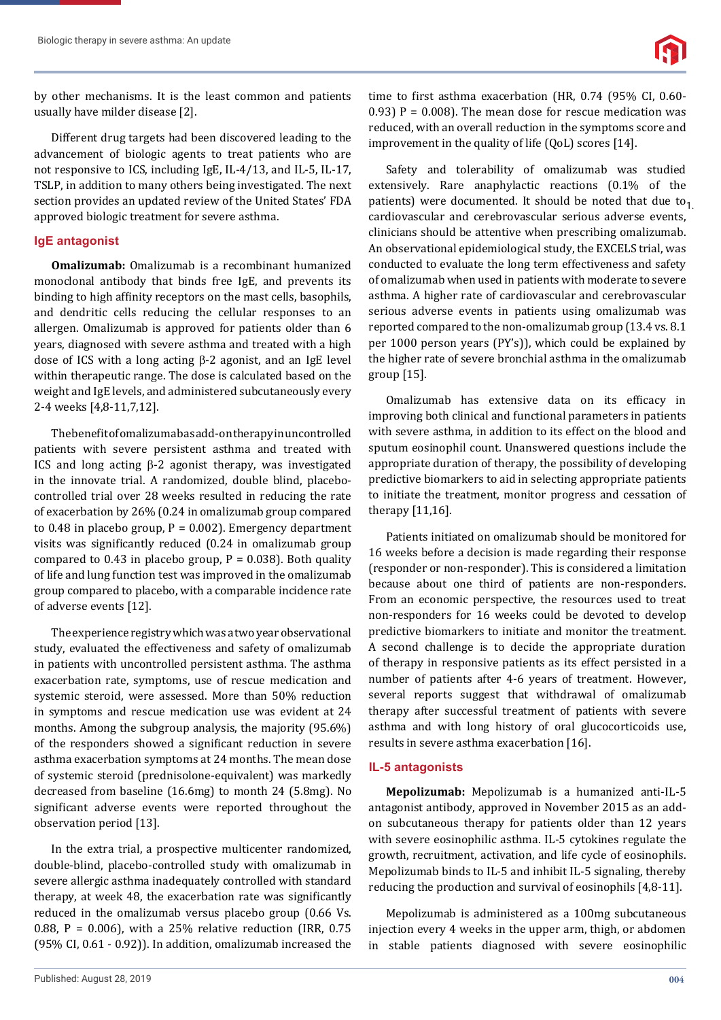by other mechanisms. It is the least common and patients usually have milder disease [2].

Different drug targets had been discovered leading to the advancement of biologic agents to treat patients who are not responsive to ICS, including IgE, IL-4/13, and IL-5, IL-17, TSLP, in addition to many others being investigated. The next section provides an updated review of the United States' FDA approved biologic treatment for severe asthma.

#### **IgE antagonist**

**Omalizumab:** Omalizumab is a recombinant humanized monoclonal antibody that binds free IgE, and prevents its binding to high affinity receptors on the mast cells, basophils, and dendritic cells reducing the cellular responses to an allergen. Omalizumab is approved for patients older than 6 years, diagnosed with severe asthma and treated with a high dose of ICS with a long acting  $\beta$ -2 agonist, and an IgE level within therapeutic range. The dose is calculated based on the weight and IgE levels, and administered subcutaneously every 2-4 weeks [4,8-11,7,12].

The benefit of omalizuma basadd-on the rapy in uncontrolled patients with severe persistent asthma and treated with ICS and long acting  $\beta$ -2 agonist therapy, was investigated in the innovate trial. A randomized, double blind, placebocontrolled trial over 28 weeks resulted in reducing the rate of exacerbation by 26% (0.24 in omalizumab group compared to 0.48 in placebo group,  $P = 0.002$ ). Emergency department visits was significantly reduced (0.24 in omalizumab group compared to 0.43 in placebo group,  $P = 0.038$ ). Both quality of life and lung function test was improved in the omalizumab group compared to placebo, with a comparable incidence rate of adverse events [12].

The experience registry which was a two year observational study, evaluated the effectiveness and safety of omalizumab in patients with uncontrolled persistent asthma. The asthma exacerbation rate, symptoms, use of rescue medication and systemic steroid, were assessed. More than 50% reduction in symptoms and rescue medication use was evident at 24 months. Among the subgroup analysis, the majority (95.6%) of the responders showed a significant reduction in severe asthma exacerbation symptoms at 24 months. The mean dose of systemic steroid (prednisolone-equivalent) was markedly decreased from baseline (16.6mg) to month 24 (5.8mg). No significant adverse events were reported throughout the observation period [13].

In the extra trial, a prospective multicenter randomized, double-blind, placebo-controlled study with omalizumab in severe allergic asthma inadequately controlled with standard therapy, at week 48, the exacerbation rate was significantly reduced in the omalizumab versus placebo group (0.66 Vs. 0.88, P = 0.006), with a 25% relative reduction (IRR, 0.75 (95% CI, 0.61 - 0.92)). In addition, omalizumab increased the

time to first asthma exacerbation (HR, 0.74 (95% CI, 0.60-0.93)  $P = 0.008$ . The mean dose for rescue medication was reduced, with an overall reduction in the symptoms score and improvement in the quality of life (QoL) scores [14].

Safety and tolerability of omalizumab was studied extensively. Rare anaphylactic reactions (0.1% of the patients) were documented. It should be noted that due to $_{1}$ . cardiovascular and cerebrovascular serious adverse events, clinicians should be attentive when prescribing omalizumab. An observational epidemiological study, the EXCELS trial, was conducted to evaluate the long term effectiveness and safety of omalizumab when used in patients with moderate to severe asthma. A higher rate of cardiovascular and cerebrovascular serious adverse events in patients using omalizumab was reported compared to the non-omalizumab group (13.4 vs. 8.1 per 1000 person years (PY's)), which could be explained by the higher rate of severe bronchial asthma in the omalizumab group [15].

Omalizumab has extensive data on its efficacy in improving both clinical and functional parameters in patients with severe asthma, in addition to its effect on the blood and sputum eosinophil count. Unanswered questions include the appropriate duration of therapy, the possibility of developing predictive biomarkers to aid in selecting appropriate patients to initiate the treatment, monitor progress and cessation of therapy [11,16].

Patients initiated on omalizumab should be monitored for 16 weeks before a decision is made regarding their response (responder or non-responder). This is considered a limitation because about one third of patients are non-responders. From an economic perspective, the resources used to treat non-responders for 16 weeks could be devoted to develop predictive biomarkers to initiate and monitor the treatment. A second challenge is to decide the appropriate duration of therapy in responsive patients as its effect persisted in a number of patients after 4-6 years of treatment. However, several reports suggest that withdrawal of omalizumab therapy after successful treatment of patients with severe asthma and with long history of oral glucocorticoids use, results in severe asthma exacerbation [16].

#### **IL-5 antagonists**

**Mepolizumab:** Mepolizumab is a humanized anti-IL-5 antagonist antibody, approved in November 2015 as an addon subcutaneous therapy for patients older than 12 years with severe eosinophilic asthma. IL-5 cytokines regulate the growth, recruitment, activation, and life cycle of eosinophils. Mepolizumab binds to IL-5 and inhibit IL-5 signaling, thereby reducing the production and survival of eosinophils [4,8-11].

Mepolizumab is administered as a 100mg subcutaneous injection every 4 weeks in the upper arm, thigh, or abdomen in stable patients diagnosed with severe eosinophilic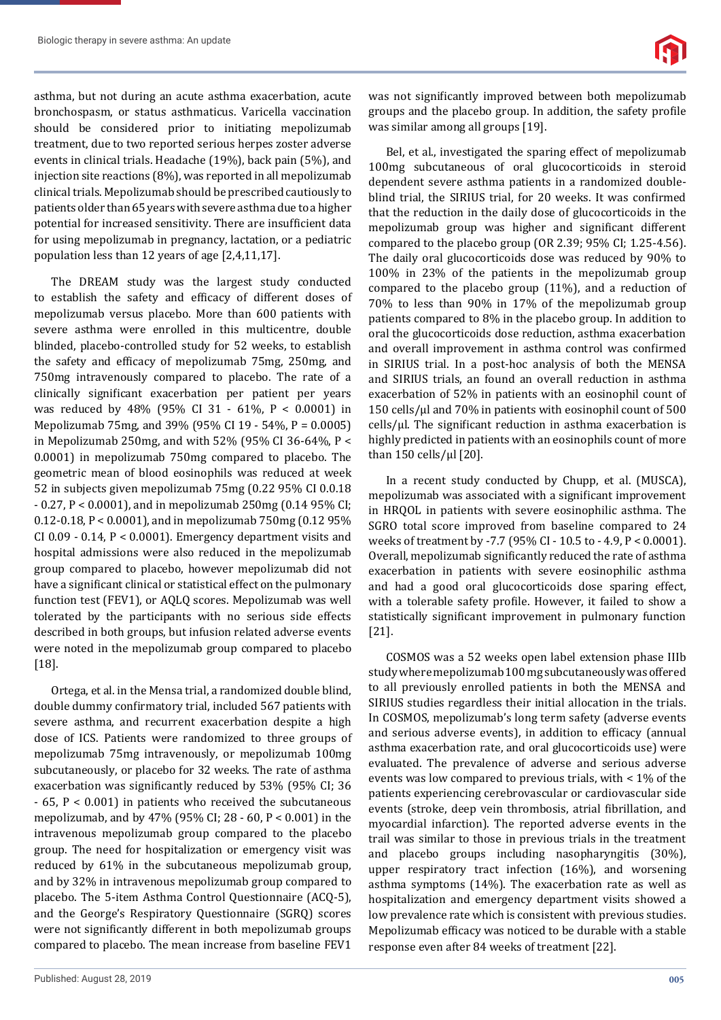asthma, but not during an acute asthma exacerbation, acute bronchospasm, or status asthmaticus. Varicella vaccination should be considered prior to initiating mepolizumab treatment, due to two reported serious herpes zoster adverse events in clinical trials. Headache (19%), back pain (5%), and injection site reactions (8%), was reported in all mepolizumab clinical trials. Mepolizumab should be prescribed cautiously to patients older than 65 years with severe asthma due to a higher potential for increased sensitivity. There are insufficient data for using mepolizumab in pregnancy, lactation, or a pediatric population less than 12 years of age [2,4,11,17].

The DREAM study was the largest study conducted to establish the safety and efficacy of different doses of mepolizumab versus placebo. More than 600 patients with severe asthma were enrolled in this multicentre, double blinded, placebo-controlled study for 52 weeks, to establish the safety and efficacy of mepolizumab 75mg, 250mg, and 750mg intravenously compared to placebo. The rate of a clinically significant exacerbation per patient per years was reduced by 48% (95% CI 31 - 61%, P < 0.0001) in Mepolizumab 75mg, and 39% (95% CI 19 - 54%, P = 0.0005) in Mepolizumab 250mg, and with 52% (95% CI 36-64%, P < 0.0001) in mepolizumab 750mg compared to placebo. The geometric mean of blood eosinophils was reduced at week 52 in subjects given mepolizumab 75mg (0.22 95% CI 0.0.18 - 0.27, P < 0.0001), and in mepolizumab 250mg (0.14 95% CI; 0.12-0.18, P < 0.0001), and in mepolizumab 750mg (0.12 95% CI 0.09 - 0.14,  $P < 0.0001$ ). Emergency department visits and hospital admissions were also reduced in the mepolizumab group compared to placebo, however mepolizumab did not have a significant clinical or statistical effect on the pulmonary function test (FEV1), or AQLQ scores. Mepolizumab was well tolerated by the participants with no serious side effects described in both groups, but infusion related adverse events were noted in the mepolizumab group compared to placebo [18].

Ortega, et al. in the Mensa trial, a randomized double blind, double dummy confirmatory trial, included 567 patients with severe asthma, and recurrent exacerbation despite a high dose of ICS. Patients were randomized to three groups of mepolizumab 75mg intravenously, or mepolizumab 100mg subcutaneously, or placebo for 32 weeks. The rate of asthma exacerbation was significantly reduced by 53% (95% CI; 36 - 65, P < 0.001) in patients who received the subcutaneous mepolizumab, and by 47% (95% CI; 28 - 60, P < 0.001) in the intravenous mepolizumab group compared to the placebo group. The need for hospitalization or emergency visit was reduced by 61% in the subcutaneous mepolizumab group, and by 32% in intravenous mepolizumab group compared to placebo. The 5-item Asthma Control Questionnaire (ACQ-5), and the George's Respiratory Questionnaire (SGRQ) scores were not significantly different in both mepolizumab groups compared to placebo. The mean increase from baseline FEV1 was not significantly improved between both mepolizumab groups and the placebo group. In addition, the safety profile was similar among all groups [19].

Bel, et al., investigated the sparing effect of mepolizumab 100mg subcutaneous of oral glucocorticoids in steroid dependent severe asthma patients in a randomized doubleblind trial, the SIRIUS trial, for 20 weeks. It was confirmed that the reduction in the daily dose of glucocorticoids in the mepolizumab group was higher and significant different compared to the placebo group (OR 2.39; 95% CI; 1.25-4.56). The daily oral glucocorticoids dose was reduced by 90% to 100% in 23% of the patients in the mepolizumab group compared to the placebo group (11%), and a reduction of 70% to less than 90% in 17% of the mepolizumab group patients compared to 8% in the placebo group. In addition to oral the glucocorticoids dose reduction, asthma exacerbation and overall improvement in asthma control was confirmed in SIRIUS trial. In a post-hoc analysis of both the MENSA and SIRIUS trials, an found an overall reduction in asthma exacerbation of 52% in patients with an eosinophil count of 150 cells/μl and 70% in patients with eosinophil count of 500 cells/μl. The significant reduction in asthma exacerbation is highly predicted in patients with an eosinophils count of more than 150 cells/μl [20].

In a recent study conducted by Chupp, et al. (MUSCA), mepolizumab was associated with a significant improvement in HRQOL in patients with severe eosinophilic asthma. The SGRO total score improved from baseline compared to 24 weeks of treatment by -7.7 (95% CI - 10.5 to - 4.9, P < 0.0001). Overall, mepolizumab significantly reduced the rate of asthma exacerbation in patients with severe eosinophilic asthma and had a good oral glucocorticoids dose sparing effect, with a tolerable safety profile. However, it failed to show a statistically significant improvement in pulmonary function [21].

COSMOS was a 52 weeks open label extension phase IIIb study where mepolizumab 100 mg subcutaneously was offered to all previously enrolled patients in both the MENSA and SIRIUS studies regardless their initial allocation in the trials. In COSMOS, mepolizumab's long term safety (adverse events and serious adverse events), in addition to efficacy (annual asthma exacerbation rate, and oral glucocorticoids use) were evaluated. The prevalence of adverse and serious adverse events was low compared to previous trials, with < 1% of the patients experiencing cerebrovascular or cardiovascular side events (stroke, deep vein thrombosis, atrial fibrillation, and myocardial infarction). The reported adverse events in the trail was similar to those in previous trials in the treatment and placebo groups including nasopharyngitis (30%), upper respiratory tract infection (16%), and worsening asthma symptoms (14%). The exacerbation rate as well as hospitalization and emergency department visits showed a low prevalence rate which is consistent with previous studies. Mepolizumab efficacy was noticed to be durable with a stable response even after 84 weeks of treatment [22].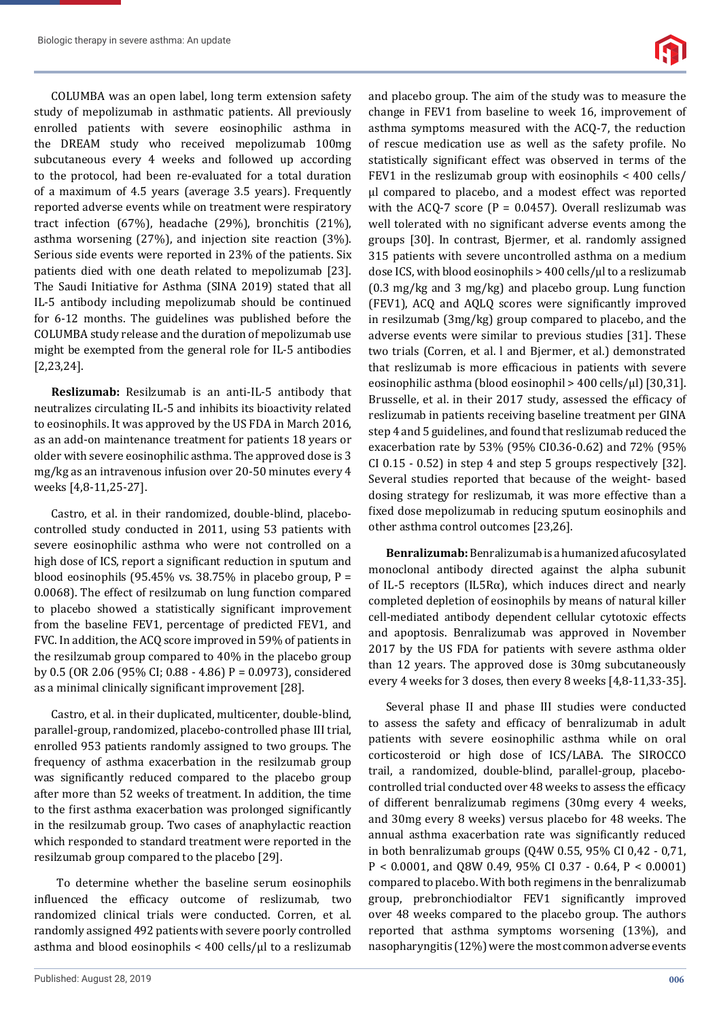COLUMBA was an open label, long term extension safety study of mepolizumab in asthmatic patients. All previously enrolled patients with severe eosinophilic asthma in the DREAM study who received mepolizumab 100mg subcutaneous every 4 weeks and followed up according to the protocol, had been re-evaluated for a total duration of a maximum of 4.5 years (average 3.5 years). Frequently reported adverse events while on treatment were respiratory tract infection (67%), headache (29%), bronchitis (21%), asthma worsening (27%), and injection site reaction (3%). Serious side events were reported in 23% of the patients. Six patients died with one death related to mepolizumab [23]. The Saudi Initiative for Asthma (SINA 2019) stated that all IL-5 antibody including mepolizumab should be continued for 6-12 months. The guidelines was published before the COLUMBA study release and the duration of mepolizumab use might be exempted from the general role for IL-5 antibodies [2,23,24].

**Reslizumab:** Resilzumab is an anti-IL-5 antibody that neutralizes circulating IL-5 and inhibits its bioactivity related to eosinophils. It was approved by the US FDA in March 2016, as an add-on maintenance treatment for patients 18 years or older with severe eosinophilic asthma. The approved dose is 3 mg/kg as an intravenous infusion over 20-50 minutes every 4 weeks [4,8-11,25-27].

Castro, et al. in their randomized, double-blind, placebocontrolled study conducted in 2011, using 53 patients with severe eosinophilic asthma who were not controlled on a high dose of ICS, report a significant reduction in sputum and blood eosinophils (95.45% vs. 38.75% in placebo group,  $P =$ 0.0068). The effect of resilzumab on lung function compared to placebo showed a statistically significant improvement from the baseline FEV1, percentage of predicted FEV1, and FVC. In addition, the ACQ score improved in 59% of patients in the resilzumab group compared to 40% in the placebo group by 0.5 (OR 2.06 (95% CI; 0.88 - 4.86) P = 0.0973), considered as a minimal clinically significant improvement [28].

Castro, et al. in their duplicated, multicenter, double-blind, parallel-group, randomized, placebo-controlled phase III trial, enrolled 953 patients randomly assigned to two groups. The frequency of asthma exacerbation in the resilzumab group was significantly reduced compared to the placebo group after more than 52 weeks of treatment. In addition, the time to the first asthma exacerbation was prolonged significantly in the resilzumab group. Two cases of anaphylactic reaction which responded to standard treatment were reported in the resilzumab group compared to the placebo [29].

 To determine whether the baseline serum eosinophils influenced the efficacy outcome of reslizumab, two randomized clinical trials were conducted. Corren, et al. randomly assigned 492 patients with severe poorly controlled asthma and blood eosinophils < 400 cells/μl to a reslizumab and placebo group. The aim of the study was to measure the change in FEV1 from baseline to week 16, improvement of asthma symptoms measured with the ACQ-7, the reduction of rescue medication use as well as the safety profile. No statistically significant effect was observed in terms of the FEV1 in the reslizumab group with eosinophils < 400 cells/ μl compared to placebo, and a modest effect was reported with the ACQ-7 score ( $P = 0.0457$ ). Overall reslizumab was well tolerated with no significant adverse events among the groups [30]. In contrast, Bjermer, et al. randomly assigned 315 patients with severe uncontrolled asthma on a medium dose ICS, with blood eosinophils > 400 cells/μl to a reslizumab (0.3 mg/kg and 3 mg/kg) and placebo group. Lung function (FEV1), ACQ and AQLQ scores were significantly improved in resilzumab (3mg/kg) group compared to placebo, and the adverse events were similar to previous studies [31]. These two trials (Corren, et al. l and Bjermer, et al.) demonstrated that reslizumab is more efficacious in patients with severe eosinophilic asthma (blood eosinophil > 400 cells/μl) [30,31]. Brusselle, et al. in their 2017 study, assessed the efficacy of reslizumab in patients receiving baseline treatment per GINA step 4 and 5 guidelines, and found that reslizumab reduced the exacerbation rate by 53% (95% CI0.36-0.62) and 72% (95% CI 0.15 - 0.52) in step 4 and step 5 groups respectively [32]. Several studies reported that because of the weight- based dosing strategy for reslizumab, it was more effective than a fixed dose mepolizumab in reducing sputum eosinophils and other asthma control outcomes [23,26].

**Benralizumab:** Benralizumab is a humanized afucosylated monoclonal antibody directed against the alpha subunit of IL-5 receptors (IL5Rα), which induces direct and nearly completed depletion of eosinophils by means of natural killer cell-mediated antibody dependent cellular cytotoxic effects and apoptosis. Benralizumab was approved in November 2017 by the US FDA for patients with severe asthma older than 12 years. The approved dose is 30mg subcutaneously every 4 weeks for 3 doses, then every 8 weeks [4,8-11,33-35].

Several phase II and phase III studies were conducted to assess the safety and efficacy of benralizumab in adult patients with severe eosinophilic asthma while on oral corticosteroid or high dose of ICS/LABA. The SIROCCO trail, a randomized, double-blind, parallel-group, placebocontrolled trial conducted over 48 weeks to assess the efficacy of different benralizumab regimens (30mg every 4 weeks, and 30mg every 8 weeks) versus placebo for 48 weeks. The annual asthma exacerbation rate was significantly reduced in both benralizumab groups (Q4W 0.55, 95% CI 0,42 - 0,71, P < 0.0001, and Q8W 0.49, 95% CI 0.37 - 0.64, P < 0.0001) compared to placebo. With both regimens in the benralizumab group, prebronchiodialtor FEV1 significantly improved over 48 weeks compared to the placebo group. The authors reported that asthma symptoms worsening (13%), and nasopharyngitis (12%) were the most common adverse events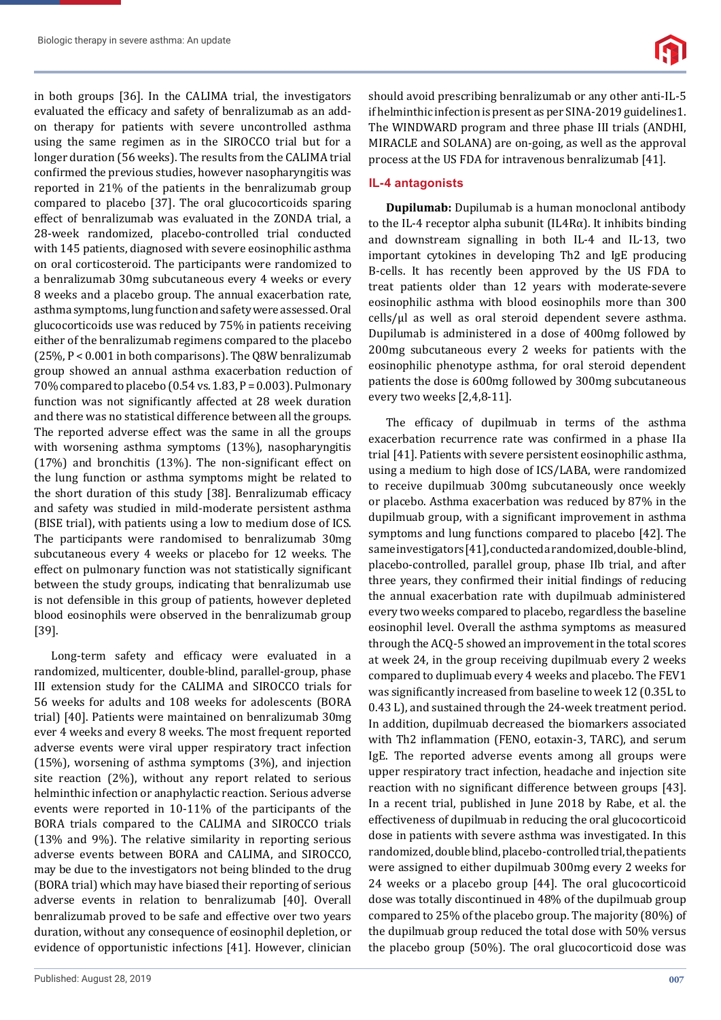in both groups [36]. In the CALIMA trial, the investigators evaluated the efficacy and safety of benralizumab as an addon therapy for patients with severe uncontrolled asthma using the same regimen as in the SIROCCO trial but for a longer duration (56 weeks). The results from the CALIMA trial confirmed the previous studies, however nasopharyngitis was reported in 21% of the patients in the benralizumab group compared to placebo [37]. The oral glucocorticoids sparing effect of benralizumab was evaluated in the ZONDA trial, a 28-week randomized, placebo-controlled trial conducted with 145 patients, diagnosed with severe eosinophilic asthma on oral corticosteroid. The participants were randomized to a benralizumab 30mg subcutaneous every 4 weeks or every 8 weeks and a placebo group. The annual exacerbation rate, asthma symptoms, lung function and safety were assessed. Oral glucocorticoids use was reduced by 75% in patients receiving either of the benralizumab regimens compared to the placebo (25%, P < 0.001 in both comparisons). The Q8W benralizumab group showed an annual asthma exacerbation reduction of 70% compared to placebo (0.54 vs. 1.83, P = 0.003). Pulmonary function was not significantly affected at 28 week duration and there was no statistical difference between all the groups. The reported adverse effect was the same in all the groups with worsening asthma symptoms (13%), nasopharyngitis  $(17%)$  and bronchitis  $(13%)$ . The non-significant effect on the lung function or asthma symptoms might be related to the short duration of this study [38]. Benralizumab efficacy and safety was studied in mild-moderate persistent asthma (BISE trial), with patients using a low to medium dose of ICS. The participants were randomised to benralizumab 30mg subcutaneous every 4 weeks or placebo for 12 weeks. The effect on pulmonary function was not statistically significant between the study groups, indicating that benralizumab use is not defensible in this group of patients, however depleted blood eosinophils were observed in the benralizumab group [39].

Long-term safety and efficacy were evaluated in a randomized, multicenter, double-blind, parallel-group, phase III extension study for the CALIMA and SIROCCO trials for 56 weeks for adults and 108 weeks for adolescents (BORA trial) [40]. Patients were maintained on benralizumab 30mg ever 4 weeks and every 8 weeks. The most frequent reported adverse events were viral upper respiratory tract infection (15%), worsening of asthma symptoms (3%), and injection site reaction (2%), without any report related to serious helminthic infection or anaphylactic reaction. Serious adverse events were reported in 10-11% of the participants of the BORA trials compared to the CALIMA and SIROCCO trials (13% and 9%). The relative similarity in reporting serious adverse events between BORA and CALIMA, and SIROCCO, may be due to the investigators not being blinded to the drug (BORA trial) which may have biased their reporting of serious adverse events in relation to benralizumab [40]. Overall benralizumab proved to be safe and effective over two years duration, without any consequence of eosinophil depletion, or evidence of opportunistic infections [41]. However, clinician

should avoid prescribing benralizumab or any other anti-IL-5 if helminthic infection is present as per SINA-2019 guidelines1. The WINDWARD program and three phase III trials (ANDHI, MIRACLE and SOLANA) are on-going, as well as the approval process at the US FDA for intravenous benralizumab [41].

#### **IL-4 antagonists**

**Dupilumab:** Dupilumab is a human monoclonal antibody to the IL-4 receptor alpha subunit (IL4Rα). It inhibits binding and downstream signalling in both IL-4 and IL-13, two important cytokines in developing Th2 and IgE producing B-cells. It has recently been approved by the US FDA to treat patients older than 12 years with moderate-severe eosinophilic asthma with blood eosinophils more than 300 cells/μl as well as oral steroid dependent severe asthma. Dupilumab is administered in a dose of 400mg followed by 200mg subcutaneous every 2 weeks for patients with the eosinophilic phenotype asthma, for oral steroid dependent patients the dose is 600mg followed by 300mg subcutaneous every two weeks [2,4,8-11].

The efficacy of dupilmuab in terms of the asthma exacerbation recurrence rate was confirmed in a phase IIa trial [41]. Patients with severe persistent eosinophilic asthma, using a medium to high dose of ICS/LABA, were randomized to receive dupilmuab 300mg subcutaneously once weekly or placebo. Asthma exacerbation was reduced by 87% in the dupilmuab group, with a significant improvement in asthma symptoms and lung functions compared to placebo [42]. The same investigators [41], conducted a randomized, double-blind, placebo-controlled, parallel group, phase IIb trial, and after three years, they confirmed their initial findings of reducing the annual exacerbation rate with dupilmuab administered every two weeks compared to placebo, regardless the baseline eosinophil level. Overall the asthma symptoms as measured through the ACQ-5 showed an improvement in the total scores at week 24, in the group receiving dupilmuab every 2 weeks compared to duplimuab every 4 weeks and placebo. The FEV1 was significantly increased from baseline to week 12 (0.35L to 0.43 L), and sustained through the 24-week treatment period. In addition, dupilmuab decreased the biomarkers associated with Th2 inflammation (FENO, eotaxin-3, TARC), and serum IgE. The reported adverse events among all groups were upper respiratory tract infection, headache and injection site reaction with no significant difference between groups [43]. In a recent trial, published in June 2018 by Rabe, et al. the effectiveness of dupilmuab in reducing the oral glucocorticoid dose in patients with severe asthma was investigated. In this randomized, double blind, placebo-controlled trial, the patients were assigned to either dupilmuab 300mg every 2 weeks for 24 weeks or a placebo group [44]. The oral glucocorticoid dose was totally discontinued in 48% of the dupilmuab group compared to 25% of the placebo group. The majority (80%) of the dupilmuab group reduced the total dose with 50% versus the placebo group (50%). The oral glucocorticoid dose was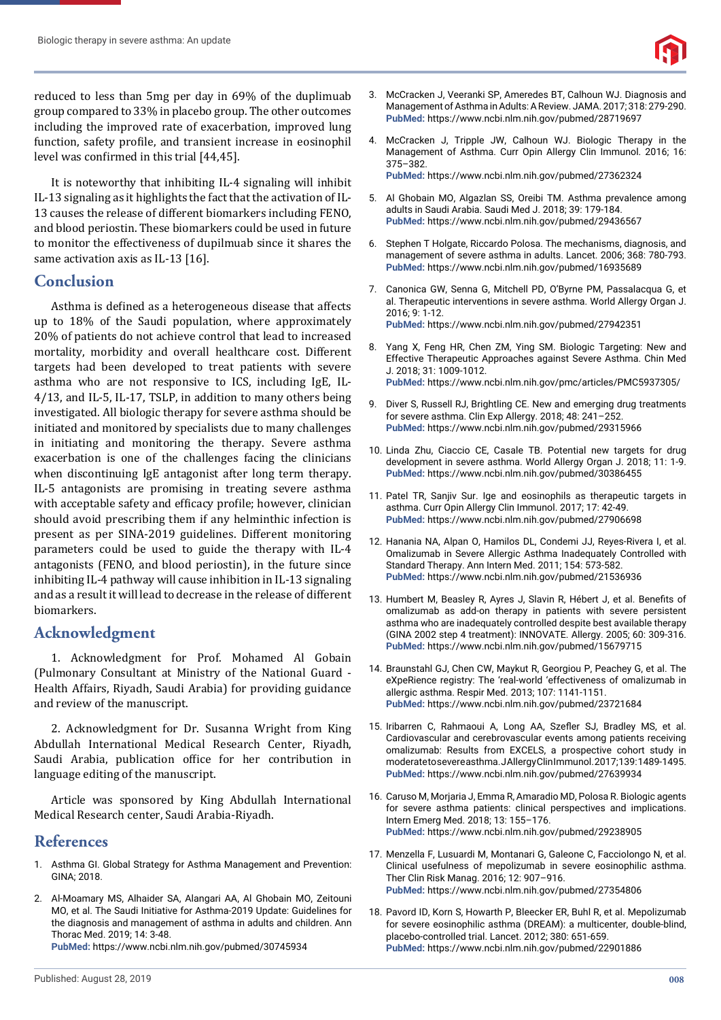reduced to less than 5mg per day in 69% of the duplimuab group compared to 33% in placebo group. The other outcomes including the improved rate of exacerbation, improved lung function, safety profile, and transient increase in eosinophil level was confirmed in this trial [44,45].

It is noteworthy that inhibiting IL-4 signaling will inhibit IL-13 signaling as it highlights the fact that the activation of IL-13 causes the release of different biomarkers including FENO, and blood periostin. These biomarkers could be used in future to monitor the effectiveness of dupilmuab since it shares the same activation axis as IL-13 [16].

## **Conclusion**

Asthma is defined as a heterogeneous disease that affects up to 18% of the Saudi population, where approximately 20% of patients do not achieve control that lead to increased mortality, morbidity and overall healthcare cost. Different targets had been developed to treat patients with severe asthma who are not responsive to ICS, including IgE, IL-4/13, and IL-5, IL-17, TSLP, in addition to many others being investigated. All biologic therapy for severe asthma should be initiated and monitored by specialists due to many challenges in initiating and monitoring the therapy. Severe asthma exacerbation is one of the challenges facing the clinicians when discontinuing IgE antagonist after long term therapy. IL-5 antagonists are promising in treating severe asthma with acceptable safety and efficacy profile; however, clinician should avoid prescribing them if any helminthic infection is present as per SINA-2019 guidelines. Different monitoring parameters could be used to guide the therapy with IL-4 antagonists (FENO, and blood periostin), in the future since inhibiting IL-4 pathway will cause inhibition in IL-13 signaling and as a result it will lead to decrease in the release of different biomarkers.

# **Acknowledgment**

1. Acknowledgment for Prof. Mohamed Al Gobain (Pulmonary Consultant at Ministry of the National Guard - Health Affairs, Riyadh, Saudi Arabia) for providing guidance and review of the manuscript.

2. Acknowledgment for Dr. Susanna Wright from King Abdullah International Medical Research Center, Riyadh, Saudi Arabia, publication office for her contribution in language editing of the manuscript.

Article was sponsored by King Abdullah International Medical Research center, Saudi Arabia-Riyadh.

## **References**

- 1. Asthma GI. Global Strategy for Asthma Management and Prevention: GINA; 2018.
- 2. Al-Moamary MS, Alhaider SA, Alangari AA, Al Ghobain MO, Zeitouni MO, et al. The Saudi Initiative for Asthma-2019 Update: Guidelines for the diagnosis and management of asthma in adults and children. Ann Thorac Med. 2019; 14: 3-48.

**PubMed:** https://www.ncbi.nlm.nih.gov/pubmed/30745934

- 3. McCracken J, Veeranki SP, Ameredes BT, Calhoun WJ. Diagnosis and Management of Asthma in Adults: A Review. JAMA. 2017; 318: 279-290. **PubMed:** https://www.ncbi.nlm.nih.gov/pubmed/28719697
- 4. McCracken J, Tripple JW, Calhoun WJ. Biologic Therapy in the Management of Asthma. Curr Opin Allergy Clin Immunol. 2016; 16: 375–382. **PubMed:** https://www.ncbi.nlm.nih.gov/pubmed/27362324
- 5. Al Ghobain MO, Algazlan SS, Oreibi TM. Asthma prevalence among adults in Saudi Arabia. Saudi Med J. 2018; 39: 179-184. **PubMed:** https://www.ncbi.nlm.nih.gov/pubmed/29436567
- 6. Stephen T Holgate, Riccardo Polosa. The mechanisms, diagnosis, and management of severe asthma in adults. Lancet. 2006; 368: 780-793. **PubMed:** https://www.ncbi.nlm.nih.gov/pubmed/16935689
- 7. Canonica GW, Senna G, Mitchell PD, O'Byrne PM, Passalacqua G, et al. Therapeutic interventions in severe asthma. World Allergy Organ J. 2016; 9: 1-12. **PubMed:** https://www.ncbi.nlm.nih.gov/pubmed/27942351
- 8. Yang X, Feng HR, Chen ZM, Ying SM. Biologic Targeting: New and Effective Therapeutic Approaches against Severe Asthma. Chin Med J. 2018; 31: 1009-1012. **PubMed:** https://www.ncbi.nlm.nih.gov/pmc/articles/PMC5937305/
- 9. Diver S, Russell RJ, Brightling CE. New and emerging drug treatments for severe asthma. Clin Exp Allergy. 2018; 48: 241–252. **PubMed:** https://www.ncbi.nlm.nih.gov/pubmed/29315966
- 10. Linda Zhu, Ciaccio CE, Casale TB. Potential new targets for drug development in severe asthma. World Allergy Organ J. 2018; 11: 1-9. **PubMed:** https://www.ncbi.nlm.nih.gov/pubmed/30386455
- 11. Patel TR, Sanjiv Sur. Ige and eosinophils as therapeutic targets in asthma. Curr Opin Allergy Clin Immunol. 2017; 17: 42-49. **PubMed:** https://www.ncbi.nlm.nih.gov/pubmed/27906698
- 12. Hanania NA, Alpan O, Hamilos DL, Condemi JJ, Reyes-Rivera I, et al. Omalizumab in Severe Allergic Asthma Inadequately Controlled with Standard Therapy. Ann Intern Med. 2011; 154: 573-582. **PubMed:** https://www.ncbi.nlm.nih.gov/pubmed/21536936
- 13. Humbert M, Beasley R, Ayres J, Slavin R, Hébert J, et al. Benefits of omalizumab as add-on therapy in patients with severe persistent asthma who are inadequately controlled despite best available therapy (GINA 2002 step 4 treatment): INNOVATE. Allergy. 2005; 60: 309-316. **PubMed:** https://www.ncbi.nlm.nih.gov/pubmed/15679715
- 14. Braunstahl GJ, Chen CW, Maykut R, Georgiou P, Peachey G, et al. The eXpeRience registry: The 'real-world 'effectiveness of omalizumab in allergic asthma. Respir Med. 2013; 107: 1141-1151. **PubMed:** https://www.ncbi.nlm.nih.gov/pubmed/23721684
- 15. Iribarren C, Rahmaoui A, Long AA, Szefler SJ, Bradley MS, et al. Cardiovascular and cerebrovascular events among patients receiving omalizumab: Results from EXCELS, a prospective cohort study in moderate to severe asthma. J Allergy Clin Immunol. 2017; 139: 1489-1495. **PubMed:** https://www.ncbi.nlm.nih.gov/pubmed/27639934
- 16. Caruso M, Morjaria J, Emma R, Amaradio MD, Polosa R. Biologic agents for severe asthma patients: clinical perspectives and implications. Intern Emerg Med. 2018; 13: 155–176. **PubMed:** https://www.ncbi.nlm.nih.gov/pubmed/29238905
- 17. Menzella F, Lusuardi M, Montanari G, Galeone C, Facciolongo N, et al. Clinical usefulness of mepolizumab in severe eosinophilic asthma. Ther Clin Risk Manag. 2016; 12: 907–916. **PubMed:** https://www.ncbi.nlm.nih.gov/pubmed/27354806
- 18. Pavord ID, Korn S, Howarth P, Bleecker ER, Buhl R, et al. Mepolizumab for severe eosinophilic asthma (DREAM): a multicenter, double-blind, placebo-controlled trial. Lancet. 2012; 380: 651-659. **PubMed:** https://www.ncbi.nlm.nih.gov/pubmed/22901886